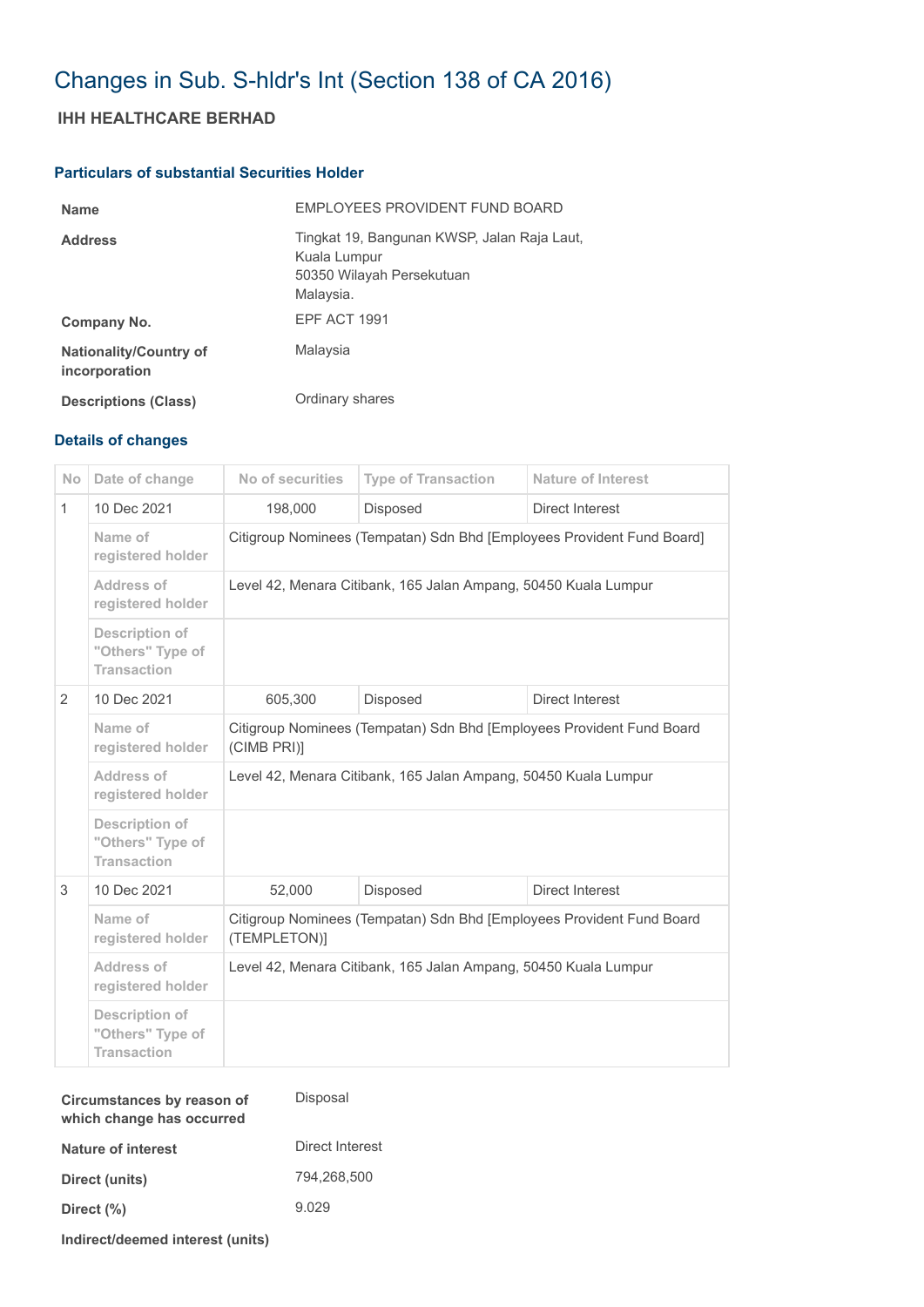## Changes in Sub. S-hldr's Int (Section 138 of CA 2016)

## **IHH HEALTHCARE BERHAD**

## **Particulars of substantial Securities Holder**

| <b>Name</b>                                    | EMPLOYEES PROVIDENT FUND BOARD                                                                        |
|------------------------------------------------|-------------------------------------------------------------------------------------------------------|
| <b>Address</b>                                 | Tingkat 19, Bangunan KWSP, Jalan Raja Laut,<br>Kuala Lumpur<br>50350 Wilayah Persekutuan<br>Malaysia. |
| Company No.                                    | EPF ACT 1991                                                                                          |
| <b>Nationality/Country of</b><br>incorporation | Malaysia                                                                                              |
| <b>Descriptions (Class)</b>                    | Ordinary shares                                                                                       |

## **Details of changes**

| <b>No</b>    | Date of change                                                  | No of securities                                                                      | <b>Type of Transaction</b> | <b>Nature of Interest</b> |  |
|--------------|-----------------------------------------------------------------|---------------------------------------------------------------------------------------|----------------------------|---------------------------|--|
| $\mathbf{1}$ | 10 Dec 2021                                                     | 198,000                                                                               | <b>Disposed</b>            | Direct Interest           |  |
|              | Name of<br>registered holder                                    | Citigroup Nominees (Tempatan) Sdn Bhd [Employees Provident Fund Board]                |                            |                           |  |
|              | Address of<br>registered holder                                 | Level 42, Menara Citibank, 165 Jalan Ampang, 50450 Kuala Lumpur                       |                            |                           |  |
|              | <b>Description of</b><br>"Others" Type of<br><b>Transaction</b> |                                                                                       |                            |                           |  |
| 2            | 10 Dec 2021                                                     | 605,300                                                                               | Disposed                   | Direct Interest           |  |
|              | Name of<br>registered holder                                    | Citigroup Nominees (Tempatan) Sdn Bhd [Employees Provident Fund Board<br>(CIMB PRI)]  |                            |                           |  |
|              | Address of<br>registered holder                                 | Level 42, Menara Citibank, 165 Jalan Ampang, 50450 Kuala Lumpur                       |                            |                           |  |
|              | Description of<br>"Others" Type of<br><b>Transaction</b>        |                                                                                       |                            |                           |  |
| 3            | 10 Dec 2021                                                     | 52,000                                                                                | Disposed                   | Direct Interest           |  |
|              | Name of<br>registered holder                                    | Citigroup Nominees (Tempatan) Sdn Bhd [Employees Provident Fund Board<br>(TEMPLETON)] |                            |                           |  |
|              | Address of<br>registered holder                                 | Level 42, Menara Citibank, 165 Jalan Ampang, 50450 Kuala Lumpur                       |                            |                           |  |
|              | <b>Description of</b><br>"Others" Type of<br><b>Transaction</b> |                                                                                       |                            |                           |  |

| Circumstances by reason of<br>which change has occurred | Disposal        |
|---------------------------------------------------------|-----------------|
| Nature of interest                                      | Direct Interest |
| Direct (units)                                          | 794.268.500     |
| Direct (%)                                              | 9.029           |
|                                                         |                 |

**Indirect/deemed interest (units)**